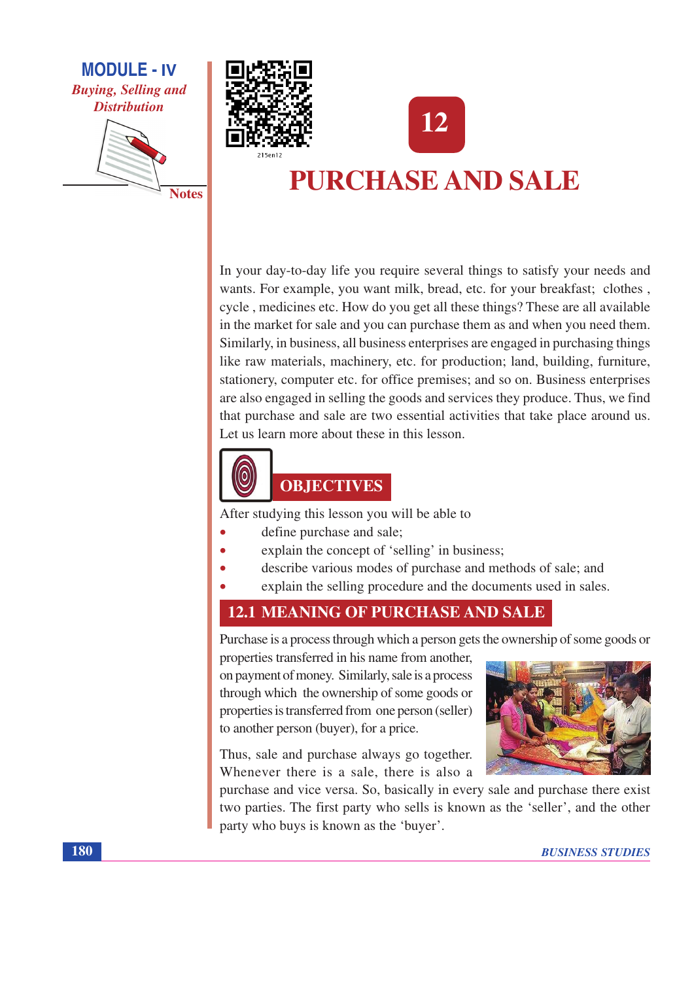

**Notes** 





# **PURCHASE AND SALE**

In your day-to-day life you require several things to satisfy your needs and wants. For example, you want milk, bread, etc. for your breakfast; clothes, cycle, medicines etc. How do you get all these things? These are all available in the market for sale and you can purchase them as and when you need them. Similarly, in business, all business enterprises are engaged in purchasing things like raw materials, machinery, etc. for production; land, building, furniture, stationery, computer etc. for office premises; and so on. Business enterprises are also engaged in selling the goods and services they produce. Thus, we find that purchase and sale are two essential activities that take place around us. Let us learn more about these in this lesson.



## **OBJECTIVES**

After studying this lesson you will be able to

- define purchase and sale;
- explain the concept of 'selling' in business;
- describe various modes of purchase and methods of sale; and
- explain the selling procedure and the documents used in sales.

## **12.1 MEANING OF PURCHASE AND SALE**

Purchase is a process through which a person gets the ownership of some goods or

properties transferred in his name from another. on payment of money. Similarly, sale is a process through which the ownership of some goods or properties is transferred from one person (seller) to another person (buyer), for a price.

Thus, sale and purchase always go together. Whenever there is a sale, there is also a



purchase and vice versa. So, basically in every sale and purchase there exist two parties. The first party who sells is known as the 'seller', and the other party who buys is known as the 'buyer'.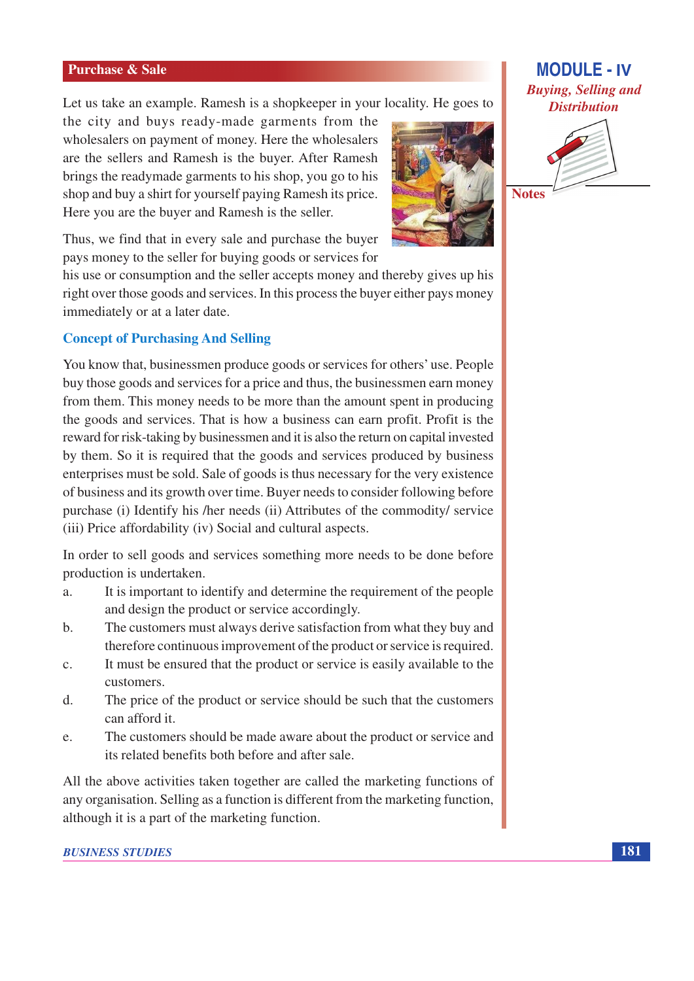Let us take an example. Ramesh is a shopkeeper in your locality. He goes to

the city and buys ready-made garments from the wholesalers on payment of money. Here the wholesalers are the sellers and Ramesh is the buyer. After Ramesh brings the readymade garments to his shop, you go to his shop and buy a shirt for yourself paying Ramesh its price. Here you are the buyer and Ramesh is the seller.



Thus, we find that in every sale and purchase the buyer pays money to the seller for buying goods or services for

his use or consumption and the seller accepts money and thereby gives up his right over those goods and services. In this process the buyer either pays money immediately or at a later date.

#### **Concept of Purchasing And Selling**

You know that, businessmen produce goods or services for others' use. People buy those goods and services for a price and thus, the businessmen earn money from them. This money needs to be more than the amount spent in producing the goods and services. That is how a business can earn profit. Profit is the reward for risk-taking by businessmen and it is also the return on capital invested by them. So it is required that the goods and services produced by business enterprises must be sold. Sale of goods is thus necessary for the very existence of business and its growth over time. Buyer needs to consider following before purchase (i) Identify his /her needs (ii) Attributes of the commodity/ service (iii) Price affordability (iv) Social and cultural aspects.

In order to sell goods and services something more needs to be done before production is undertaken.

- It is important to identify and determine the requirement of the people  $\overline{a}$ . and design the product or service accordingly.
- The customers must always derive satisfaction from what they buy and  $\mathbf{b}$ . therefore continuous improvement of the product or service is required.
- It must be ensured that the product or service is easily available to the  $\mathcal{C}$ . customers.
- The price of the product or service should be such that the customers  $\mathbf{d}$ can afford it.
- The customers should be made aware about the product or service and e. its related benefits both before and after sale.

All the above activities taken together are called the marketing functions of any organisation. Selling as a function is different from the marketing function, although it is a part of the marketing function.

# **MODULE - IV Buying, Selling and Distribution**



**Notes**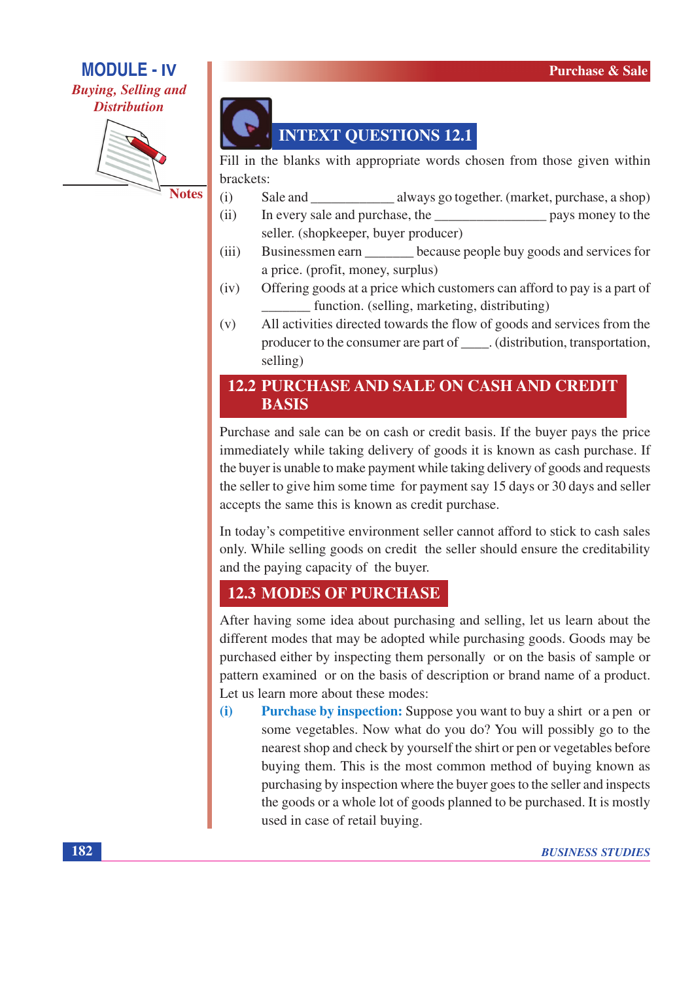## **MODULE - IV Buying, Selling and**

# **Distribution**



**Notes** 



Fill in the blanks with appropriate words chosen from those given within brackets:

- $(i)$ Sale and always go together. (market, purchase, a shop)
- $(ii)$ In every sale and purchase, the pays money to the seller. (shopkeeper, buyer producer)
- $(iii)$ Businessmen earn because people buy goods and services for a price. (profit, money, surplus)
- Offering goods at a price which customers can afford to pay is a part of  $(iv)$ function. (selling, marketing, distributing)
- $(v)$ All activities directed towards the flow of goods and services from the producer to the consumer are part of \_\_\_\_\_. (distribution, transportation, selling)

## **12.2 PURCHASE AND SALE ON CASH AND CREDIT BASIS**

Purchase and sale can be on cash or credit basis. If the buyer pays the price immediately while taking delivery of goods it is known as cash purchase. If the buyer is unable to make payment while taking delivery of goods and requests the seller to give him some time for payment say 15 days or 30 days and seller accepts the same this is known as credit purchase.

In today's competitive environment seller cannot afford to stick to cash sales only. While selling goods on credit the seller should ensure the creditability and the paying capacity of the buyer.

# **12.3 MODES OF PURCHASE**

After having some idea about purchasing and selling, let us learn about the different modes that may be adopted while purchasing goods. Goods may be purchased either by inspecting them personally or on the basis of sample or pattern examined or on the basis of description or brand name of a product. Let us learn more about these modes:

Purchase by inspection: Suppose you want to buy a shirt or a pen or  $(i)$ some vegetables. Now what do you do? You will possibly go to the nearest shop and check by yourself the shirt or pen or vegetables before buying them. This is the most common method of buying known as purchasing by inspection where the buyer goes to the seller and inspects the goods or a whole lot of goods planned to be purchased. It is mostly used in case of retail buying.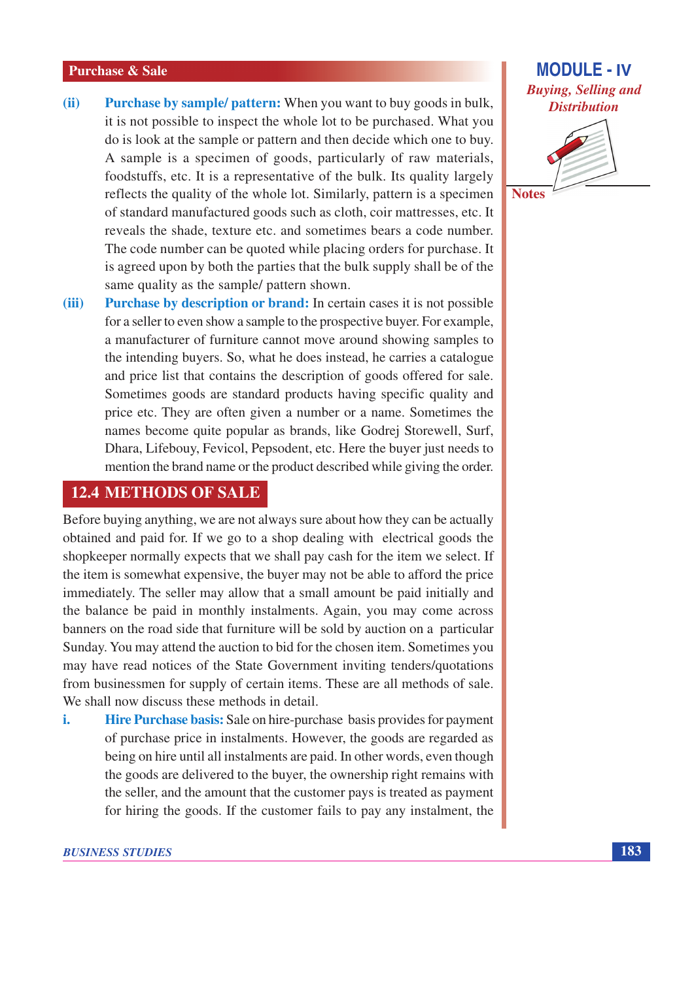- **Purchase by sample/ pattern:** When you want to buy goods in bulk,  $(ii)$ it is not possible to inspect the whole lot to be purchased. What you do is look at the sample or pattern and then decide which one to buy. A sample is a specimen of goods, particularly of raw materials, foodstuffs, etc. It is a representative of the bulk. Its quality largely reflects the quality of the whole lot. Similarly, pattern is a specimen of standard manufactured goods such as cloth, coir mattresses, etc. It reveals the shade, texture etc. and sometimes bears a code number. The code number can be quoted while placing orders for purchase. It is agreed upon by both the parties that the bulk supply shall be of the same quality as the sample/ pattern shown.
- **Purchase by description or brand:** In certain cases it is not possible  $(iii)$ for a seller to even show a sample to the prospective buyer. For example, a manufacturer of furniture cannot move around showing samples to the intending buyers. So, what he does instead, he carries a catalogue and price list that contains the description of goods offered for sale. Sometimes goods are standard products having specific quality and price etc. They are often given a number or a name. Sometimes the names become quite popular as brands, like Godrej Storewell, Surf, Dhara, Lifebouy, Fevicol, Pepsodent, etc. Here the buyer just needs to mention the brand name or the product described while giving the order.

### **12.4 METHODS OF SALE**

Before buying anything, we are not always sure about how they can be actually obtained and paid for. If we go to a shop dealing with electrical goods the shopkeeper normally expects that we shall pay cash for the item we select. If the item is somewhat expensive, the buyer may not be able to afford the price immediately. The seller may allow that a small amount be paid initially and the balance be paid in monthly instalments. Again, you may come across banners on the road side that furniture will be sold by auction on a particular Sunday. You may attend the auction to bid for the chosen item. Sometimes you may have read notices of the State Government inviting tenders/quotations from businessmen for supply of certain items. These are all methods of sale. We shall now discuss these methods in detail.

Hire Purchase basis: Sale on hire-purchase basis provides for payment i. of purchase price in instalments. However, the goods are regarded as being on hire until all instalments are paid. In other words, even though the goods are delivered to the buyer, the ownership right remains with the seller, and the amount that the customer pays is treated as payment for hiring the goods. If the customer fails to pay any instalment, the



**Notes**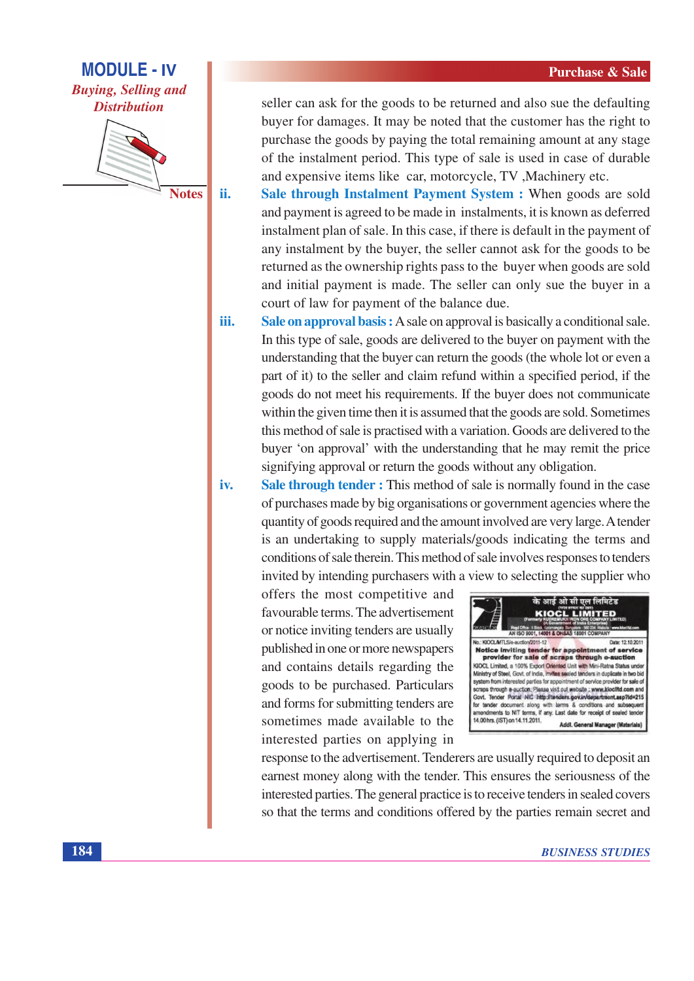**MODULE - IV Buying, Selling and Distribution** 

**Notes** 

ii.

iv.

seller can ask for the goods to be returned and also sue the defaulting buyer for damages. It may be noted that the customer has the right to purchase the goods by paying the total remaining amount at any stage of the instalment period. This type of sale is used in case of durable and expensive items like car, motorcycle, TV, Machinery etc.

Sale through Instalment Payment System : When goods are sold and payment is agreed to be made in instalments, it is known as deferred instalment plan of sale. In this case, if there is default in the payment of any instalment by the buyer, the seller cannot ask for the goods to be returned as the ownership rights pass to the buyer when goods are sold and initial payment is made. The seller can only sue the buyer in a court of law for payment of the balance due.

iii. Sale on approval basis: A sale on approval is basically a conditional sale. In this type of sale, goods are delivered to the buyer on payment with the understanding that the buyer can return the goods (the whole lot or even a part of it) to the seller and claim refund within a specified period, if the goods do not meet his requirements. If the buyer does not communicate within the given time then it is assumed that the goods are sold. Sometimes this method of sale is practised with a variation. Goods are delivered to the buyer 'on approval' with the understanding that he may remit the price signifying approval or return the goods without any obligation.

Sale through tender: This method of sale is normally found in the case of purchases made by big organisations or government agencies where the quantity of goods required and the amount involved are very large. A tender is an undertaking to supply materials/goods indicating the terms and conditions of sale therein. This method of sale involves responses to tenders invited by intending purchasers with a view to selecting the supplier who

offers the most competitive and favourable terms. The advertisement or notice inviting tenders are usually published in one or more newspapers and contains details regarding the goods to be purchased. Particulars and forms for submitting tenders are sometimes made available to the interested parties on applying in



response to the advertisement. Tenderers are usually required to deposit an earnest money along with the tender. This ensures the seriousness of the interested parties. The general practice is to receive tenders in sealed covers so that the terms and conditions offered by the parties remain secret and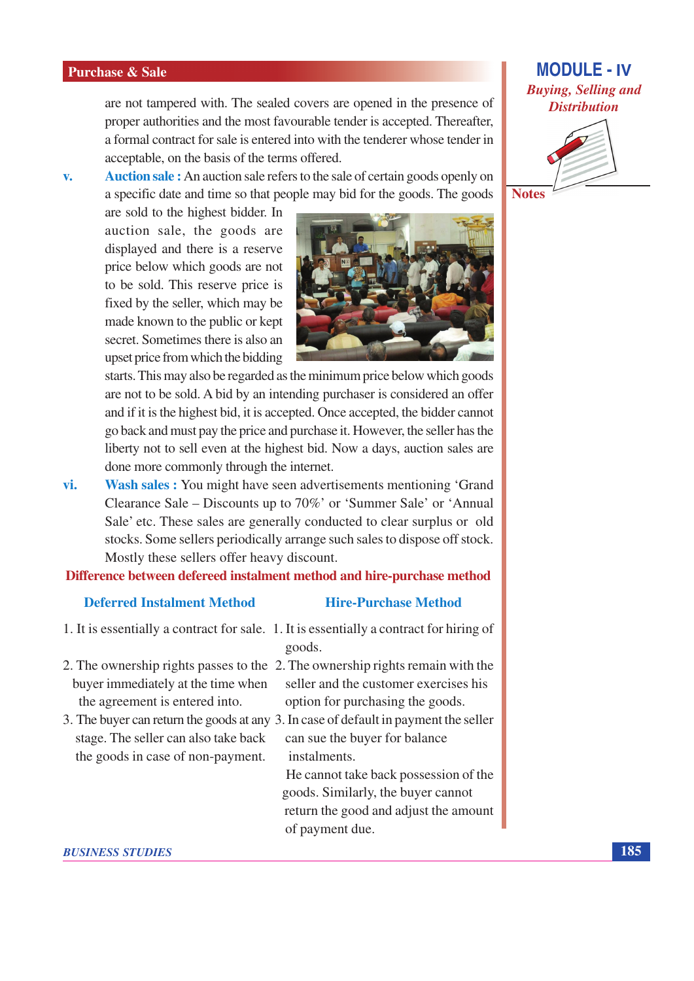are not tampered with. The sealed covers are opened in the presence of proper authorities and the most favourable tender is accepted. Thereafter, a formal contract for sale is entered into with the tenderer whose tender in acceptable, on the basis of the terms offered.

**Auction sale:** An auction sale refers to the sale of certain goods openly on  $V_{\bullet}$ a specific date and time so that people may bid for the goods. The goods

are sold to the highest bidder. In auction sale, the goods are displayed and there is a reserve price below which goods are not to be sold. This reserve price is fixed by the seller, which may be made known to the public or kept secret. Sometimes there is also an upset price from which the bidding



starts. This may also be regarded as the minimum price below which goods are not to be sold. A bid by an intending purchaser is considered an offer and if it is the highest bid, it is accepted. Once accepted, the bidder cannot go back and must pay the price and purchase it. However, the seller has the liberty not to sell even at the highest bid. Now a days, auction sales are done more commonly through the internet.

vi. **Wash sales:** You might have seen advertisements mentioning 'Grand' Clearance Sale – Discounts up to 70%' or 'Summer Sale' or 'Annual Sale' etc. These sales are generally conducted to clear surplus or old stocks. Some sellers periodically arrange such sales to dispose off stock. Mostly these sellers offer heavy discount.

Difference between defereed instalment method and hire-purchase method

#### **Deferred Instalment Method**

#### **Hire-Purchase Method**

- 1. It is essentially a contract for sale. 1. It is essentially a contract for hiring of goods.
- buyer immediately at the time when the agreement is entered into.
- 3. The buyer can return the goods at any 3. In case of default in payment the seller stage. The seller can also take back the goods in case of non-payment.

2. The ownership rights passes to the 2. The ownership rights remain with the seller and the customer exercises his option for purchasing the goods.

> can sue the buyer for balance *instalments*

He cannot take back possession of the goods. Similarly, the buyer cannot return the good and adjust the amount of payment due.

**MODULE - IV Buying, Selling and Distribution** 



**Notes**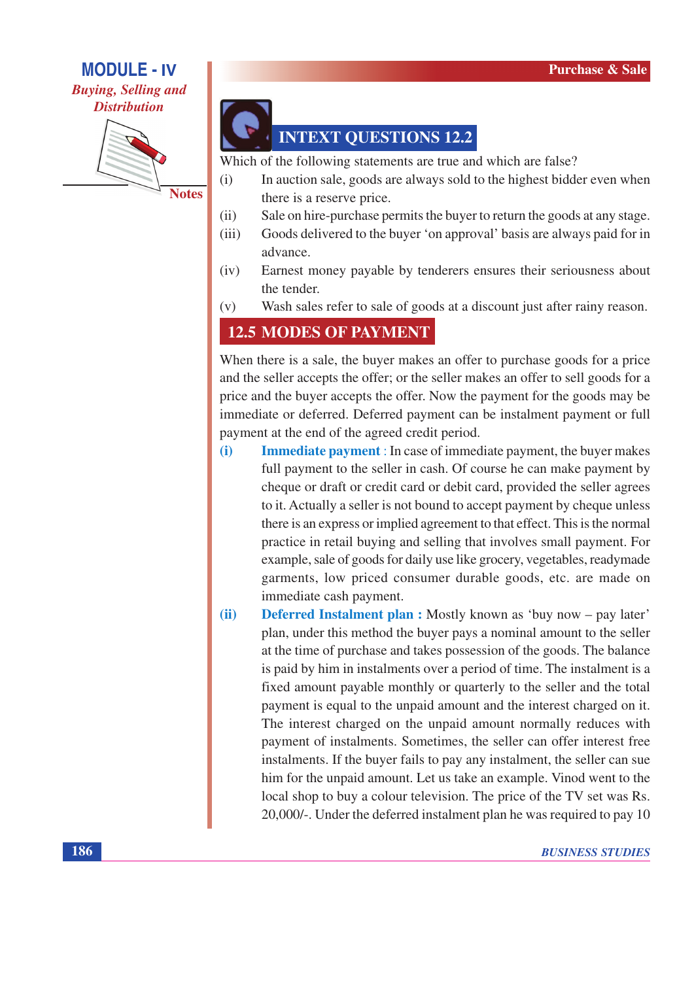## **MODULE - IV Buying, Selling and**

## **Distribution**



**INTEXT QUESTIONS 12.2** 

Which of the following statements are true and which are false?

- $(i)$ In auction sale, goods are always sold to the highest bidder even when there is a reserve price.
- $(ii)$ Sale on hire-purchase permits the buyer to return the goods at any stage.
- Goods delivered to the buyer 'on approval' basis are always paid for in  $(iii)$ advance.
- $(iv)$ Earnest money payable by tenderers ensures their seriousness about the tender.
- $(v)$ Wash sales refer to sale of goods at a discount just after rainy reason.

# **12.5 MODES OF PAYMENT**

When there is a sale, the buyer makes an offer to purchase goods for a price and the seller accepts the offer; or the seller makes an offer to sell goods for a price and the buyer accepts the offer. Now the payment for the goods may be immediate or deferred. Deferred payment can be instalment payment or full payment at the end of the agreed credit period.

- Immediate payment : In case of immediate payment, the buyer makes  $(i)$ full payment to the seller in cash. Of course he can make payment by cheque or draft or credit card or debit card, provided the seller agrees to it. Actually a seller is not bound to accept payment by cheque unless there is an express or implied agreement to that effect. This is the normal practice in retail buying and selling that involves small payment. For example, sale of goods for daily use like grocery, vegetables, readymade garments, low priced consumer durable goods, etc. are made on immediate cash payment.
- $(ii)$

**Deferred Instalment plan :** Mostly known as 'buy now – pay later' plan, under this method the buyer pays a nominal amount to the seller at the time of purchase and takes possession of the goods. The balance is paid by him in instalments over a period of time. The instalment is a fixed amount payable monthly or quarterly to the seller and the total payment is equal to the unpaid amount and the interest charged on it. The interest charged on the unpaid amount normally reduces with payment of instalments. Sometimes, the seller can offer interest free instalments. If the buyer fails to pay any instalment, the seller can sue him for the unpaid amount. Let us take an example. Vinod went to the local shop to buy a colour television. The price of the TV set was Rs. 20,000/-. Under the deferred instalment plan he was required to pay 10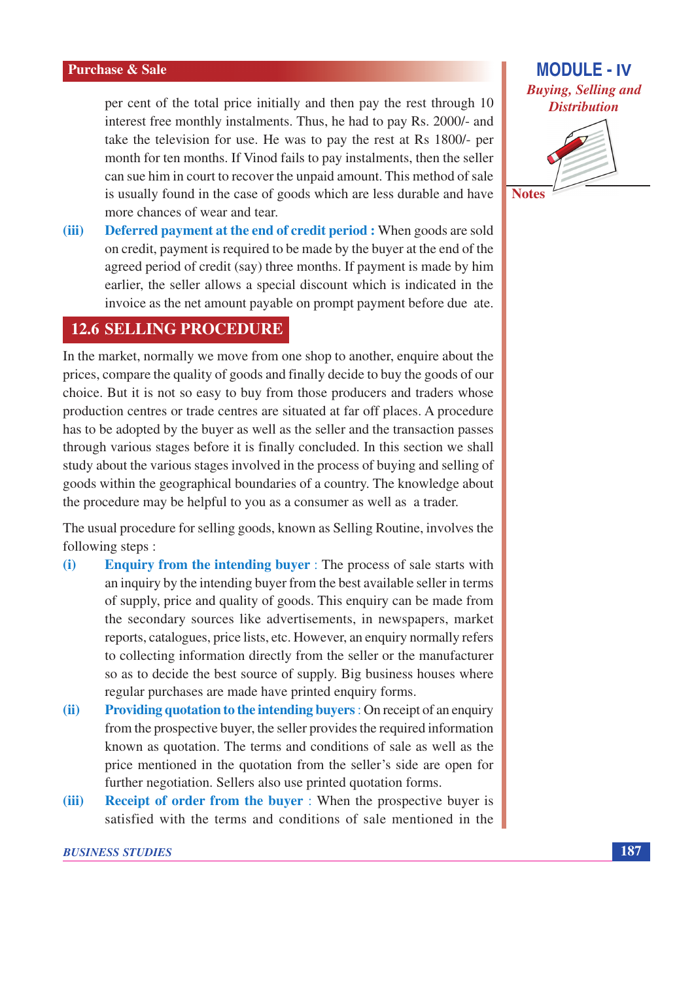per cent of the total price initially and then pay the rest through 10 interest free monthly instalments. Thus, he had to pay Rs. 2000/- and take the television for use. He was to pay the rest at Rs 1800/- per month for ten months. If Vinod fails to pay instalments, then the seller can sue him in court to recover the unpaid amount. This method of sale is usually found in the case of goods which are less durable and have more chances of wear and tear.

**Deferred payment at the end of credit period :** When goods are sold  $(iii)$ on credit, payment is required to be made by the buyer at the end of the agreed period of credit (say) three months. If payment is made by him earlier, the seller allows a special discount which is indicated in the invoice as the net amount payable on prompt payment before due ate.

### **12.6 SELLING PROCEDURE**

In the market, normally we move from one shop to another, enquire about the prices, compare the quality of goods and finally decide to buy the goods of our choice. But it is not so easy to buy from those producers and traders whose production centres or trade centres are situated at far off places. A procedure has to be adopted by the buyer as well as the seller and the transaction passes through various stages before it is finally concluded. In this section we shall study about the various stages involved in the process of buying and selling of goods within the geographical boundaries of a country. The knowledge about the procedure may be helpful to you as a consumer as well as a trader.

The usual procedure for selling goods, known as Selling Routine, involves the following steps:

- **Enquiry from the intending buyer**: The process of sale starts with  $(i)$ an inquiry by the intending buyer from the best available seller in terms of supply, price and quality of goods. This enquiry can be made from the secondary sources like advertisements, in newspapers, market reports, catalogues, price lists, etc. However, an enquiry normally refers to collecting information directly from the seller or the manufacturer so as to decide the best source of supply. Big business houses where regular purchases are made have printed enquiry forms.
- **Providing quotation to the intending buyers:** On receipt of an enquiry  $(ii)$ from the prospective buyer, the seller provides the required information known as quotation. The terms and conditions of sale as well as the price mentioned in the quotation from the seller's side are open for further negotiation. Sellers also use printed quotation forms.
- **Receipt of order from the buyer:** When the prospective buyer is  $(iii)$ satisfied with the terms and conditions of sale mentioned in the

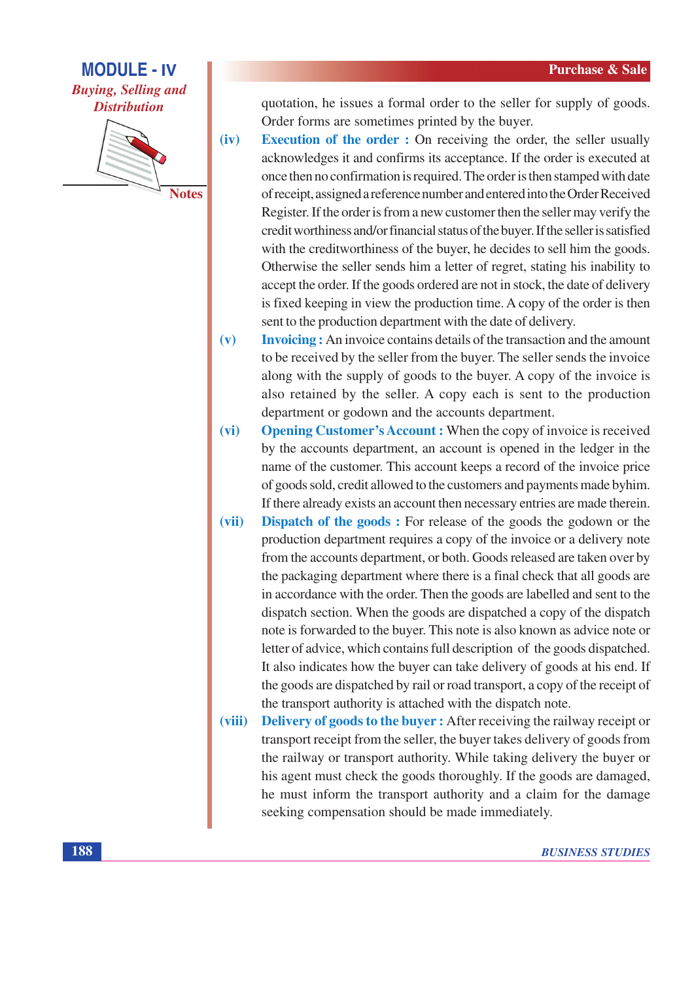# **MODULE - IV Buying, Selling and Distribution**



quotation, he issues a formal order to the seller for supply of goods. Order forms are sometimes printed by the buyer.

- $(iv)$ **Execution of the order :** On receiving the order, the seller usually acknowledges it and confirms its acceptance. If the order is executed at once then no confirmation is required. The order is then stamped with date of receipt, assigned a reference number and entered into the Order Received Register. If the order is from a new customer then the seller may verify the credit worthiness and/or financial status of the buyer. If the seller is satisfied with the creditworthiness of the buyer, he decides to sell him the goods. Otherwise the seller sends him a letter of regret, stating his inability to accept the order. If the goods ordered are not in stock, the date of delivery is fixed keeping in view the production time. A copy of the order is then sent to the production department with the date of delivery.
- **Invoicing:** An invoice contains details of the transaction and the amount  $(v)$ to be received by the seller from the buyer. The seller sends the invoice along with the supply of goods to the buyer. A copy of the invoice is also retained by the seller. A copy each is sent to the production department or godown and the accounts department.
- **Opening Customer's Account:** When the copy of invoice is received  $(vi)$ by the accounts department, an account is opened in the ledger in the name of the customer. This account keeps a record of the invoice price of goods sold, credit allowed to the customers and payments made byhim. If there already exists an account then necessary entries are made therein.
- $(vii)$ **Dispatch of the goods:** For release of the goods the godown or the production department requires a copy of the invoice or a delivery note from the accounts department, or both. Goods released are taken over by the packaging department where there is a final check that all goods are in accordance with the order. Then the goods are labelled and sent to the dispatch section. When the goods are dispatched a copy of the dispatch note is forwarded to the buyer. This note is also known as advice note or letter of advice, which contains full description of the goods dispatched. It also indicates how the buyer can take delivery of goods at his end. If the goods are dispatched by rail or road transport, a copy of the receipt of the transport authority is attached with the dispatch note.
- (viii) **Delivery of goods to the buyer:** After receiving the railway receipt or transport receipt from the seller, the buyer takes delivery of goods from the railway or transport authority. While taking delivery the buyer or his agent must check the goods thoroughly. If the goods are damaged, he must inform the transport authority and a claim for the damage seeking compensation should be made immediately.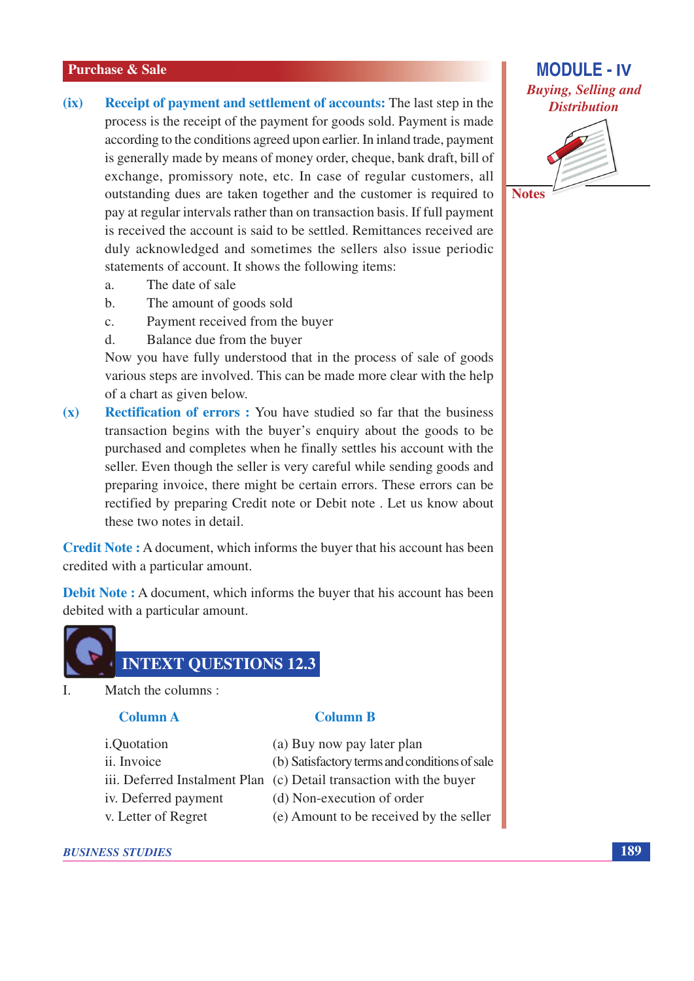- $(ix)$ **Receipt of payment and settlement of accounts:** The last step in the process is the receipt of the payment for goods sold. Payment is made according to the conditions agreed upon earlier. In inland trade, payment is generally made by means of money order, cheque, bank draft, bill of exchange, promissory note, etc. In case of regular customers, all outstanding dues are taken together and the customer is required to pay at regular intervals rather than on transaction basis. If full payment is received the account is said to be settled. Remittances received are duly acknowledged and sometimes the sellers also issue periodic statements of account. It shows the following items:
	- $\overline{a}$ . The date of sale
	- The amount of goods sold  $h$
	- Payment received from the buyer  $\mathbf{c}$ .
	- $\mathbf{d}$ . Balance due from the buyer

Now you have fully understood that in the process of sale of goods various steps are involved. This can be made more clear with the help of a chart as given below.

**Rectification of errors :** You have studied so far that the business  $(x)$ transaction begins with the buyer's enquiry about the goods to be purchased and completes when he finally settles his account with the seller. Even though the seller is very careful while sending goods and preparing invoice, there might be certain errors. These errors can be rectified by preparing Credit note or Debit note. Let us know about these two notes in detail.

**Credit Note:** A document, which informs the buyer that his account has been credited with a particular amount.

**Debit Note:** A document, which informs the buyer that his account has been debited with a particular amount.



 $\mathbf{L}$ Match the columns:

#### **Column A**

- i.Quotation
- ii. Invoice

(a) Buy now pay later plan

**Column B** 

- (b) Satisfactory terms and conditions of sale
- iii. Deferred Instalment Plan (c) Detail transaction with the buyer
- iv. Deferred payment
- v. Letter of Regret
- (d) Non-execution of order
- (e) Amount to be received by the seller

#### **BUSINESS STUDIES**





189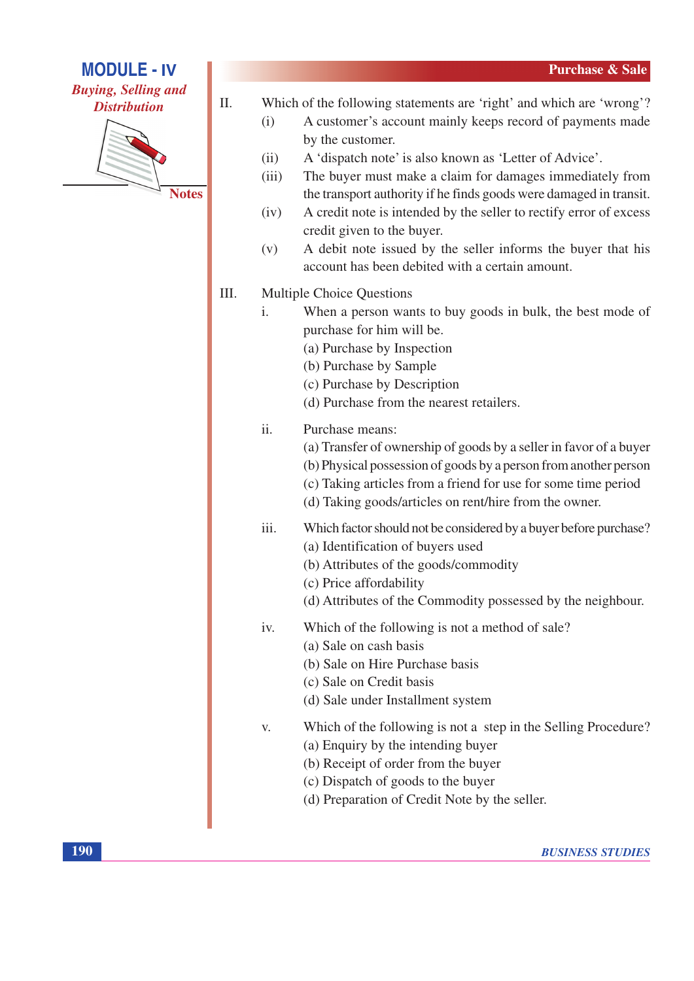

## **MODULE - IV Buying, Selling and Distribution**



**Notes** 

- $\Pi$ . Which of the following statements are 'right' and which are 'wrong'?
	- A customer's account mainly keeps record of payments made  $(i)$ by the customer.
	- A 'dispatch note' is also known as 'Letter of Advice'.  $(ii)$
	- The buyer must make a claim for damages immediately from  $(iii)$ the transport authority if he finds goods were damaged in transit.
	- A credit note is intended by the seller to rectify error of excess  $(iv)$ credit given to the buyer.
	- A debit note issued by the seller informs the buyer that his  $(v)$ account has been debited with a certain amount.
- III. **Multiple Choice Questions** 
	- $\mathbf{i}$ . When a person wants to buy goods in bulk, the best mode of purchase for him will be.
		- (a) Purchase by Inspection
		- (b) Purchase by Sample
		- (c) Purchase by Description
		- (d) Purchase from the nearest retailers.

#### $\ddot{i}$ Purchase means:

- (a) Transfer of ownership of goods by a seller in favor of a buyer
- (b) Physical possession of goods by a person from another person
- (c) Taking articles from a friend for use for some time period
- (d) Taking goods/articles on rent/hire from the owner.
- Which factor should not be considered by a buyer before purchase? iii. (a) Identification of buyers used
	- (b) Attributes of the goods/commodity
	- (c) Price affordability
	- (d) Attributes of the Commodity possessed by the neighbour.
- Which of the following is not a method of sale? iv.
	- (a) Sale on cash basis
	- (b) Sale on Hire Purchase basis
	- (c) Sale on Credit basis
	- (d) Sale under Installment system
- Which of the following is not a step in the Selling Procedure?  $V_{\cdot}$ 
	- (a) Enquiry by the intending buyer
	- (b) Receipt of order from the buyer
	- (c) Dispatch of goods to the buyer
	- (d) Preparation of Credit Note by the seller.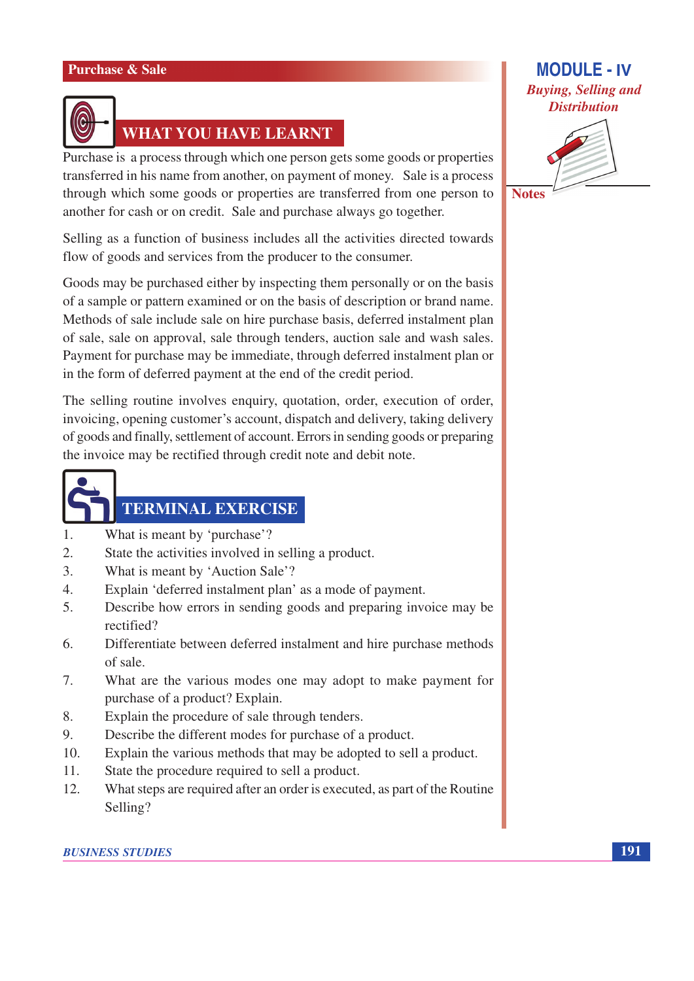

# **WHAT YOU HAVE LEARNT**

Purchase is a process through which one person gets some goods or properties transferred in his name from another, on payment of money. Sale is a process through which some goods or properties are transferred from one person to another for cash or on credit. Sale and purchase always go together.

Selling as a function of business includes all the activities directed towards flow of goods and services from the producer to the consumer.

Goods may be purchased either by inspecting them personally or on the basis of a sample or pattern examined or on the basis of description or brand name. Methods of sale include sale on hire purchase basis, deferred instalment plan of sale, sale on approval, sale through tenders, auction sale and wash sales. Payment for purchase may be immediate, through deferred instalment plan or in the form of deferred payment at the end of the credit period.

The selling routine involves enquiry, quotation, order, execution of order, invoicing, opening customer's account, dispatch and delivery, taking delivery of goods and finally, settlement of account. Errors in sending goods or preparing the invoice may be rectified through credit note and debit note.



# **TERMINAL EXERCISE**

- What is meant by 'purchase'?  $\mathbf{1}$
- $\overline{2}$ . State the activities involved in selling a product.
- $\mathcal{E}$ What is meant by 'Auction Sale'?
- $\overline{4}$ Explain 'deferred instalment plan' as a mode of payment.
- $\overline{5}$ . Describe how errors in sending goods and preparing invoice may be rectified?
- 6. Differentiate between deferred instalment and hire purchase methods of sale.
- 7. What are the various modes one may adopt to make payment for purchase of a product? Explain.
- 8. Explain the procedure of sale through tenders.
- $9<sub>1</sub>$ Describe the different modes for purchase of a product.
- $10.$ Explain the various methods that may be adopted to sell a product.
- $11.$ State the procedure required to sell a product.
- What steps are required after an order is executed, as part of the Routine  $12.$ Selling?

## **MODULE - IV Buying, Selling and Distribution**



**Notes**